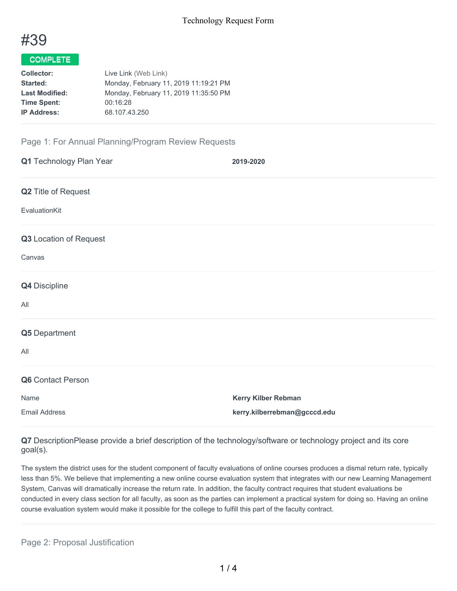

# COMPLETE

| <b>Collector:</b>     | Live Link (Web Link)                  |
|-----------------------|---------------------------------------|
| Started:              | Monday, February 11, 2019 11:19:21 PM |
| <b>Last Modified:</b> | Monday, February 11, 2019 11:35:50 PM |
| <b>Time Spent:</b>    | 00:16:28                              |
| <b>IP Address:</b>    | 68.107.43.250                         |
|                       |                                       |

## Page 1: For Annual Planning/Program Review Requests

| Q1 Technology Plan Year | 2019-2020                    |
|-------------------------|------------------------------|
| Q2 Title of Request     |                              |
| EvaluationKit           |                              |
| Q3 Location of Request  |                              |
| Canvas                  |                              |
| Q4 Discipline           |                              |
| All                     |                              |
| Q5 Department           |                              |
| All                     |                              |
| Q6 Contact Person       |                              |
| Name                    | Kerry Kilber Rebman          |
| <b>Email Address</b>    | kerry.kilberrebman@gcccd.edu |

**Q7** DescriptionPlease provide a brief description of the technology/software or technology project and its core goal(s).

The system the district uses for the student component of faculty evaluations of online courses produces a dismal return rate, typically less than 5%. We believe that implementing a new online course evaluation system that integrates with our new Learning Management System, Canvas will dramatically increase the return rate. In addition, the faculty contract requires that student evaluations be conducted in every class section for all faculty, as soon as the parties can implement a practical system for doing so. Having an online course evaluation system would make it possible for the college to fulfill this part of the faculty contract.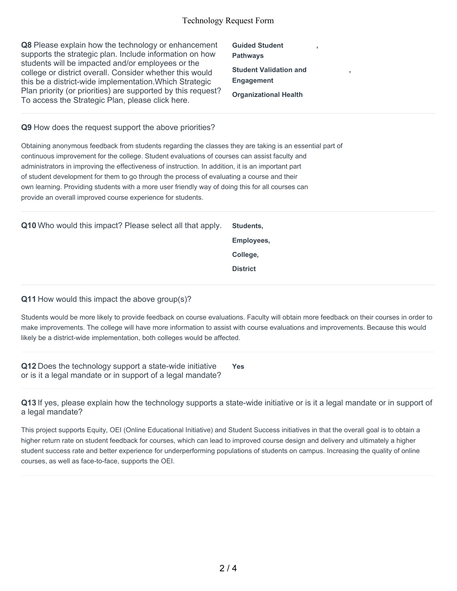| Q8 Please explain how the technology or enhancement<br>supports the strategic plan. Include information on how<br>students will be impacted and/or employees or the<br>college or district overall. Consider whether this would<br>this be a district-wide implementation. Which Strategic<br>Plan priority (or priorities) are supported by this request?<br>To access the Strategic Plan, please click here. | <b>Guided Student</b><br><b>Pathways</b><br><b>Student Validation and</b><br><b>Engagement</b><br><b>Organizational Health</b> |  |
|----------------------------------------------------------------------------------------------------------------------------------------------------------------------------------------------------------------------------------------------------------------------------------------------------------------------------------------------------------------------------------------------------------------|--------------------------------------------------------------------------------------------------------------------------------|--|
| Q9 How does the request support the above priorities?                                                                                                                                                                                                                                                                                                                                                          |                                                                                                                                |  |

Obtaining anonymous feedback from students regarding the classes they are taking is an essential part of continuous improvement for the college. Student evaluations of courses can assist faculty and administrators in improving the effectiveness of instruction. In addition, it is an important part of student development for them to go through the process of evaluating a course and their own learning. Providing students with a more user friendly way of doing this for all courses can provide an overall improved course experience for students.

| Q10 Who would this impact? Please select all that apply. |  |  |  |  |  | Students, |
|----------------------------------------------------------|--|--|--|--|--|-----------|
|----------------------------------------------------------|--|--|--|--|--|-----------|

**Employees, College, District**

#### **Q11** How would this impact the above group(s)?

Students would be more likely to provide feedback on course evaluations. Faculty will obtain more feedback on their courses in order to make improvements. The college will have more information to assist with course evaluations and improvements. Because this would likely be a district-wide implementation, both colleges would be affected.

**Q12** Does the technology support a state-wide initiative or is it a legal mandate or in support of a legal mandate? **Yes**

**Q13** If yes, please explain how the technology supports a state-wide initiative or is it a legal mandate or in support of a legal mandate?

This project supports Equity, OEI (Online Educational Initiative) and Student Success initiatives in that the overall goal is to obtain a higher return rate on student feedback for courses, which can lead to improved course design and delivery and ultimately a higher student success rate and better experience for underperforming populations of students on campus. Increasing the quality of online courses, as well as face-to-face, supports the OEI.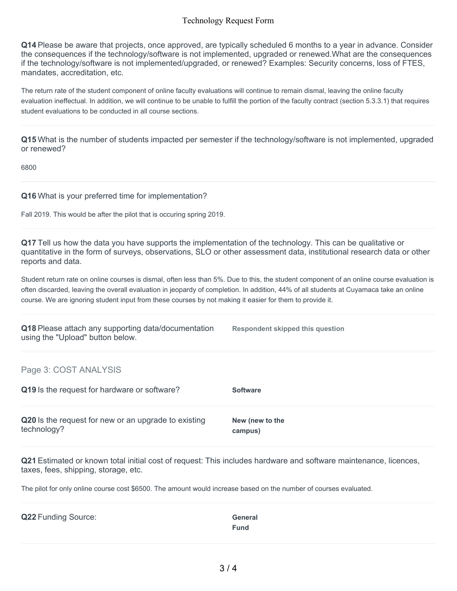# Technology Request Form

**Q14** Please be aware that projects, once approved, are typically scheduled 6 months to a year in advance. Consider the consequences if the technology/software is not implemented, upgraded or renewed.What are the consequences if the technology/software is not implemented/upgraded, or renewed? Examples: Security concerns, loss of FTES, mandates, accreditation, etc.

The return rate of the student component of online faculty evaluations will continue to remain dismal, leaving the online faculty evaluation ineffectual. In addition, we will continue to be unable to fulfill the portion of the faculty contract (section 5.3.3.1) that requires student evaluations to be conducted in all course sections.

**Q15** What is the number of students impacted per semester if the technology/software is not implemented, upgraded or renewed?

6800

**Q16** What is your preferred time for implementation?

Fall 2019. This would be after the pilot that is occuring spring 2019.

**Q17** Tell us how the data you have supports the implementation of the technology. This can be qualitative or quantitative in the form of surveys, observations, SLO or other assessment data, institutional research data or other reports and data.

Student return rate on online courses is dismal, often less than 5%. Due to this, the student component of an online course evaluation is often discarded, leaving the overall evaluation in jeopardy of completion. In addition, 44% of all students at Cuyamaca take an online course. We are ignoring student input from these courses by not making it easier for them to provide it.

**Q18** Please attach any supporting data/documentation using the "Upload" button below.

**Respondent skipped this question**

| Page 3: COST ANALYSIS                                               |                            |
|---------------------------------------------------------------------|----------------------------|
| Q19 Is the request for hardware or software?                        | <b>Software</b>            |
| Q20 Is the request for new or an upgrade to existing<br>technology? | New (new to the<br>campus) |

**Q21** Estimated or known total initial cost of request: This includes hardware and software maintenance, licences, taxes, fees, shipping, storage, etc.

The pilot for only online course cost \$6500. The amount would increase based on the number of courses evaluated.

**Q22** Funding Source: **General** 

**Fund**